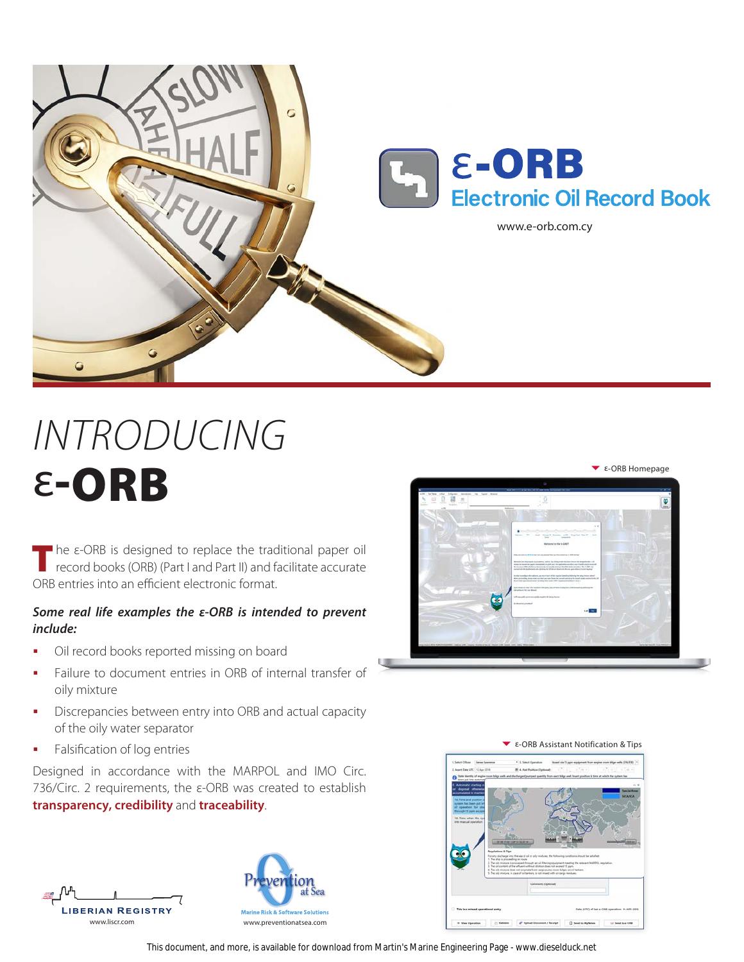

## *INTRODUCING* ε-ORB

The ε-ORB is designed to replace the traditional paper oil record books (ORB) (Part I and Part II) and facilitate accurate ORB entries into an efficient electronic format.

## *Some real life examples the ε-ORB is intended to prevent include:*

- Oil record books reported missing on board
- Failure to document entries in ORB of internal transfer of oily mixture
- **Discrepancies between entry into ORB and actual capacity** of the oily water separator
- **Falsification of log entries**

Designed in accordance with the MARPOL and IMO Circ. 736/Circ. 2 requirements, the ε-ORB was created to establish **transparency, credibility** and **traceability**.









## $\overline{P}$  ε-ORB Assistant Notification & Tips

This document, and more, is available for download from Martin's Marine Engineering Page - www.dieselduck.net